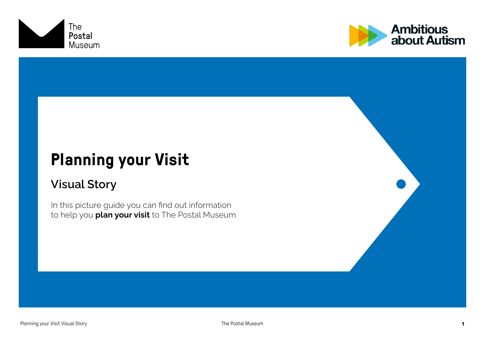



# **Planning your Visit**

#### Visual Story

In this picture guide you can find out information to help you **plan your visit** to The Postal Museum.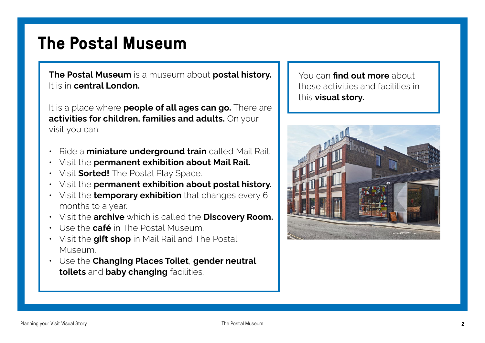## **The Postal Museum**

The Postal Museum is a museum about postal history. It is in central London.

It is a place where **people of all ages can go.** There are activities for children, families and adults. On your visit you can:

- Ride a **miniature underground train** called Mail Rail.
- Visit the permanent exhibition about Mail Rail.
- Visit **Sorted!** The Postal Play Space.
- Visit the **permanent exhibition about postal history.**
- $\cdot$  Visit the **temporary exhibition** that changes every 6 months to a year.
- Visit the archive which is called the Discovery Room.
- Use the **café** in The Postal Museum.
- Visit the **gift shop** in Mail Rail and The Postal Museum.
- Use the Changing Places Toilet, gender neutral toilets and baby changing facilities.

You can find out more about these activities and facilities in this **visual story.** 

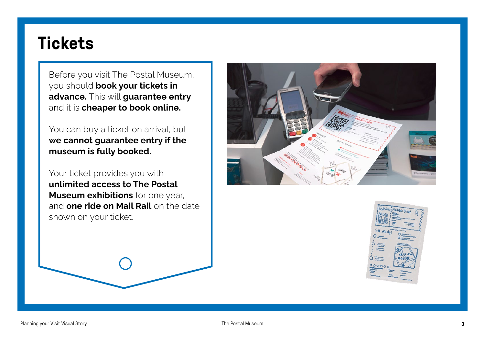#### **Tickets**

Before you visit The Postal Museum, you should **book your tickets in** advance. This will guarantee entry and it is cheaper to book online.

You can buy a ticket on arrival, but we cannot guarantee entry if the museum is fully booked.

Your ticket provides you with unlimited access to The Postal **Museum exhibitions** for one year, and one ride on Mail Rail on the date shown on your ticket.



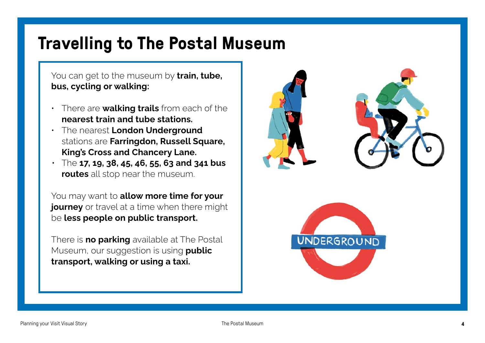# **Travelling to The Postal Museum**

You can get to the museum by **train, tube,** bus, cycling or walking:

- $\cdot$  There are walking trails from each of the nearest train and tube stations.
- The nearest London Underground stations are Farringdon, Russell Square, King's Cross and Chancery Lane.
- $\cdot$  The 17, 19, 38, 45, 46, 55, 63 and 341 bus routes all stop near the museum.

You may want to allow more time for your journey or travel at a time when there might be less people on public transport.

There is **no parking** available at The Postal Museum, our suggestion is using **public** transport, walking or using a taxi.

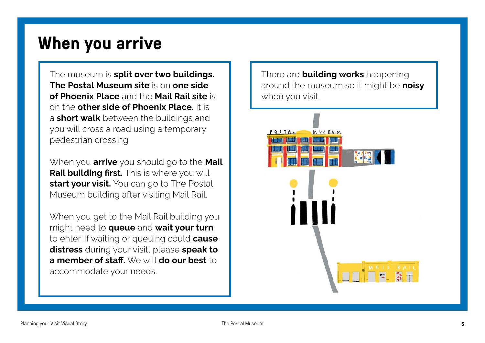#### **When you arrive**

The museum is split over two buildings. The Postal Museum site is on one side of Phoenix Place and the Mail Rail site is on the **other side of Phoenix Place**. It is a **short walk** between the buildings and you will cross a road using a temporary pedestrian crossing.

When you **arrive** you should go to the **Mail** Rail building first. This is where you will start your visit. You can go to The Postal Museum building after visiting Mail Rail.

When you get to the Mail Rail building you might need to **queue** and **wait your turn** to enter. If waiting or queuing could **cause** distress during your visit, please speak to a member of staff.  $W \oplus W$ ill do our best to accommodate your needs.

There are **building works** happening around the museum so it might be noisy when you visit.

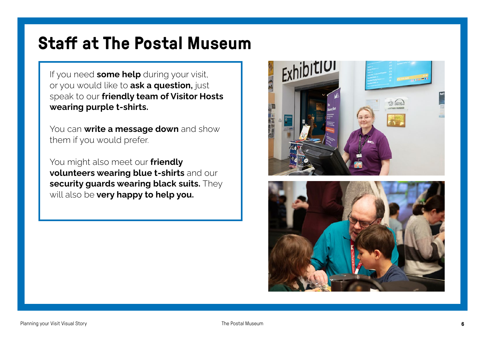## **Staff at The Postal Museum**

If you need some help during your visit, or you would like to ask a question, just speak to our friendly team of Visitor Hosts wearing purple t-shirts.

You can write a message down and show them if you would prefer.

You might also meet our friendly volunteers wearing blue t-shirts and our security guards wearing black suits. They will also be very happy to help you.

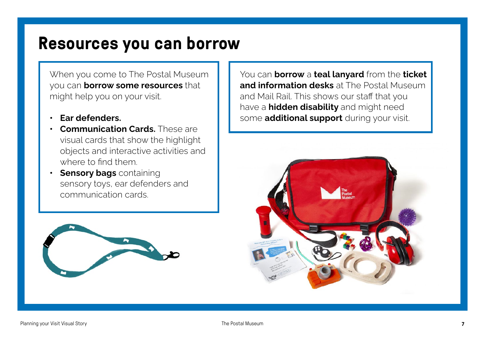#### **Resources you can borrow**

When you come to The Postal Museum you can **borrow some resources** that might help you on your visit.

- Ear defenders.
- **Communication Cards.** These are visual cards that show the highlight objects and interactive activities and where to find them.
- **Sensory bags** containing sensory toys, ear defenders and communication cards.



You can **borrow** a teal lanyard from the ticket and information desks at The Postal Museum and Mail Rail. This shows our staff that you have a **hidden disability** and might need some additional support during your visit.

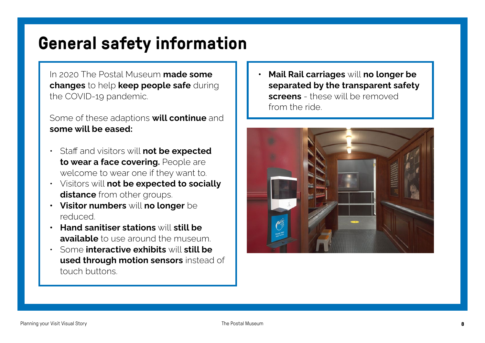# **General safety information**

In 2020 The Postal Museum made some changes to help keep people safe during the COVID-19 pandemic.

#### Some of these adaptions will continue and some will be eased:

- Staff and visitors will not be expected to wear a face covering. People are welcome to wear one if they want to.
- Visitors will not be expected to socially distance from other groups.
- Visitor numbers will no longer be reduced.
- Hand sanitiser stations will still be available to use around the museum.
- Some interactive exhibits will still be used through motion sensors instead of touch buttons.

Mail Rail carriages will no longer be separated by the transparent safety screens - these will be removed from the ride.